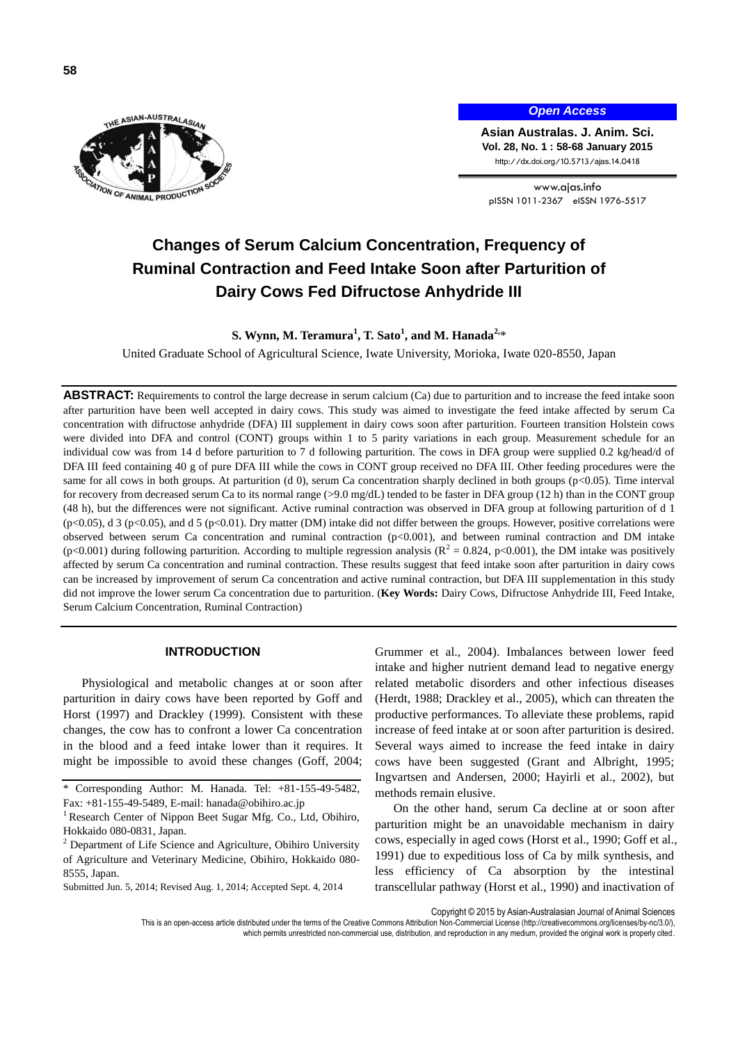

## *Open Access*

**Asian Australas. J. Anim. Sci. Vol. 28, No. 1 : 58-68 January 2015** http://dx.doi.org/10.5713/ajas.14.0418

www.ajas.info pISSN 1011-2367 eISSN 1976-5517

# **Changes of Serum Calcium Concentration, Frequency of Ruminal Contraction and Feed Intake Soon after Parturition of Dairy Cows Fed Difructose Anhydride III**

**S. Wynn, M. Teramura<sup>1</sup> , T. Sato<sup>1</sup> , and M. Hanada2,**\*

United Graduate School of Agricultural Science, Iwate University, Morioka, Iwate 020-8550, Japan

**ABSTRACT:** Requirements to control the large decrease in serum calcium (Ca) due to parturition and to increase the feed intake soon after parturition have been well accepted in dairy cows. This study was aimed to investigate the feed intake affected by serum Ca concentration with difructose anhydride (DFA) III supplement in dairy cows soon after parturition. Fourteen transition Holstein cows were divided into DFA and control (CONT) groups within 1 to 5 parity variations in each group. Measurement schedule for an individual cow was from 14 d before parturition to 7 d following parturition. The cows in DFA group were supplied 0.2 kg/head/d of DFA III feed containing 40 g of pure DFA III while the cows in CONT group received no DFA III. Other feeding procedures were the same for all cows in both groups. At parturition (d 0), serum Ca concentration sharply declined in both groups (p<0.05). Time interval for recovery from decreased serum Ca to its normal range (>9.0 mg/dL) tended to be faster in DFA group (12 h) than in the CONT group (48 h), but the differences were not significant. Active ruminal contraction was observed in DFA group at following parturition of d 1 (p<0.05), d 3 (p<0.05), and d 5 (p<0.01). Dry matter (DM) intake did not differ between the groups. However, positive correlations were observed between serum Ca concentration and ruminal contraction (p<0.001), and between ruminal contraction and DM intake  $(p<0.001)$  during following parturition. According to multiple regression analysis  $(R^2 = 0.824, p<0.001)$ , the DM intake was positively affected by serum Ca concentration and ruminal contraction. These results suggest that feed intake soon after parturition in dairy cows can be increased by improvement of serum Ca concentration and active ruminal contraction, but DFA III supplementation in this study did not improve the lower serum Ca concentration due to parturition. (**Key Words:** Dairy Cows, Difructose Anhydride III, Feed Intake, Serum Calcium Concentration, Ruminal Contraction)

# **INTRODUCTION**

Physiological and metabolic changes at or soon after parturition in dairy cows have been reported by Goff and Horst (1997) and Drackley (1999). Consistent with these changes, the cow has to confront a lower Ca concentration in the blood and a feed intake lower than it requires. It might be impossible to avoid these changes (Goff, 2004;

Grummer et al., 2004). Imbalances between lower feed intake and higher nutrient demand lead to negative energy related metabolic disorders and other infectious diseases (Herdt, 1988; Drackley et al., 2005), which can threaten the productive performances. To alleviate these problems, rapid increase of feed intake at or soon after parturition is desired. Several ways aimed to increase the feed intake in dairy cows have been suggested (Grant and Albright, 1995; Ingvartsen and Andersen, 2000; Hayirli et al., 2002), but methods remain elusive.

On the other hand, serum Ca decline at or soon after parturition might be an unavoidable mechanism in dairy cows, especially in aged cows (Horst et al., 1990; Goff et al., 1991) due to expeditious loss of Ca by milk synthesis, and less efficiency of Ca absorption by the intestinal transcellular pathway (Horst et al., 1990) and inactivation of

Copyright © 2015 by Asian-Australasian Journal of Animal Sciences

<sup>\*</sup> Corresponding Author: M. Hanada. Tel: +81-155-49-5482, Fax: +81-155-49-5489, E-mail[: hanada@obihiro.ac.jp](mailto:hanada@obihiro.ac.jp)

<sup>&</sup>lt;sup>1</sup> Research Center of Nippon Beet Sugar Mfg. Co., Ltd, Obihiro, Hokkaido 080-0831, Japan.

<sup>2</sup> Department of Life Science and Agriculture, Obihiro University of Agriculture and Veterinary Medicine, Obihiro, Hokkaido 080- 8555, Japan.

Submitted Jun. 5, 2014; Revised Aug. 1, 2014; Accepted Sept. 4, 2014

This is an open-access article distributed under the terms of the Creative Commons Attribution Non-Commercial License [\(http://creativecommons.org/licenses/by-nc/3.0/\),](http://creativecommons.org/licenses/by-nc/3.0/) which permits unrestricted non-commercial use, distribution, and reproduction in any medium, provided the original work is properly cited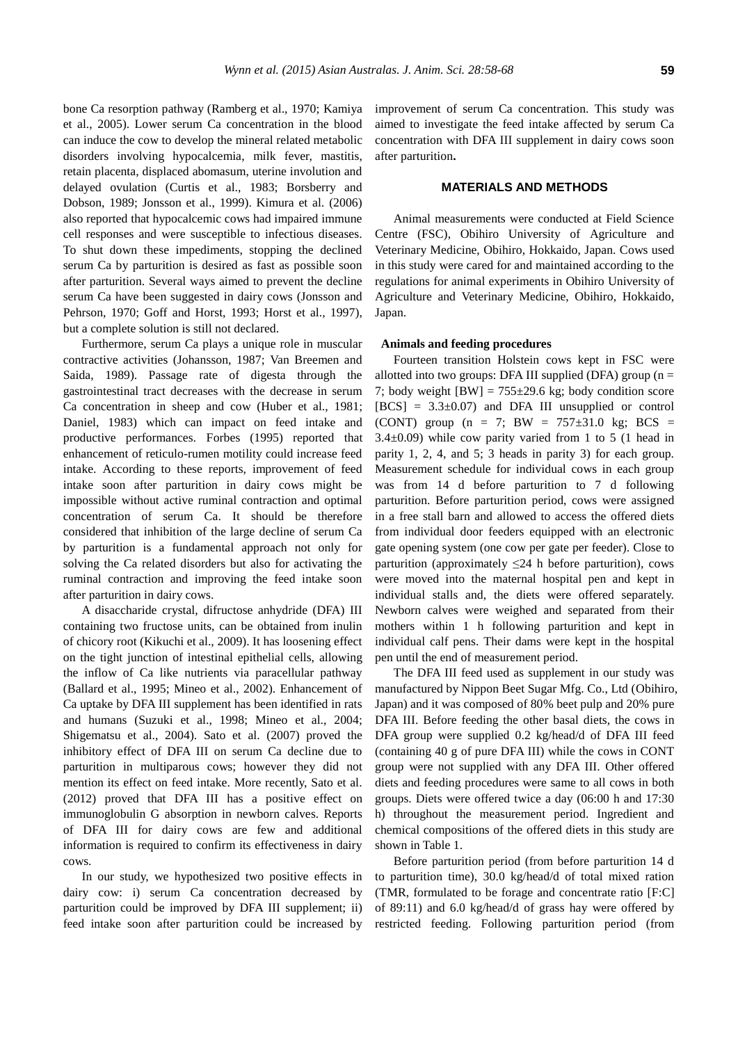bone Ca resorption pathway (Ramberg et al., 1970; Kamiya et al., 2005). Lower serum Ca concentration in the blood can induce the cow to develop the mineral related metabolic disorders involving hypocalcemia, milk fever, mastitis, retain placenta, displaced abomasum, uterine involution and delayed ovulation (Curtis et al., 1983; Borsberry and Dobson, 1989; Jonsson et al., 1999). Kimura et al. (2006) also reported that hypocalcemic cows had impaired immune cell responses and were susceptible to infectious diseases. To shut down these impediments, stopping the declined serum Ca by parturition is desired as fast as possible soon after parturition. Several ways aimed to prevent the decline serum Ca have been suggested in dairy cows (Jonsson and Pehrson, 1970; Goff and Horst, 1993; Horst et al., 1997), but a complete solution is still not declared.

Furthermore, serum Ca plays a unique role in muscular contractive activities (Johansson, 1987; Van Breemen and Saida, 1989). Passage rate of digesta through the gastrointestinal tract decreases with the decrease in serum Ca concentration in sheep and cow (Huber et al., 1981; Daniel, 1983) which can impact on feed intake and productive performances. Forbes (1995) reported that enhancement of reticulo-rumen motility could increase feed intake. According to these reports, improvement of feed intake soon after parturition in dairy cows might be impossible without active ruminal contraction and optimal concentration of serum Ca. It should be therefore considered that inhibition of the large decline of serum Ca by parturition is a fundamental approach not only for solving the Ca related disorders but also for activating the ruminal contraction and improving the feed intake soon after parturition in dairy cows.

A disaccharide crystal, difructose anhydride (DFA) III containing two fructose units, can be obtained from inulin of chicory root (Kikuchi et al., 2009). It has loosening effect on the tight junction of intestinal epithelial cells, allowing the inflow of Ca like nutrients via paracellular pathway (Ballard et al., 1995; Mineo et al., 2002). Enhancement of Ca uptake by DFA III supplement has been identified in rats and humans (Suzuki et al., 1998; Mineo et al., 2004; Shigematsu et al., 2004). Sato et al. (2007) proved the inhibitory effect of DFA III on serum Ca decline due to parturition in multiparous cows; however they did not mention its effect on feed intake. More recently, Sato et al. (2012) proved that DFA III has a positive effect on immunoglobulin G absorption in newborn calves. Reports of DFA III for dairy cows are few and additional information is required to confirm its effectiveness in dairy cows.

In our study, we hypothesized two positive effects in dairy cow: i) serum Ca concentration decreased by parturition could be improved by DFA III supplement; ii) feed intake soon after parturition could be increased by improvement of serum Ca concentration. This study was aimed to investigate the feed intake affected by serum Ca concentration with DFA III supplement in dairy cows soon after parturition**.**

# **MATERIALS AND METHODS**

Animal measurements were conducted at Field Science Centre (FSC), Obihiro University of Agriculture and Veterinary Medicine, Obihiro, Hokkaido, Japan. Cows used in this study were cared for and maintained according to the regulations for animal experiments in Obihiro University of Agriculture and Veterinary Medicine, Obihiro, Hokkaido, Japan.

### **Animals and feeding procedures**

Fourteen transition Holstein cows kept in FSC were allotted into two groups: DFA III supplied (DFA) group ( $n =$ 7; body weight  $[BW] = 755\pm 29.6$  kg; body condition score  $[BCS] = 3.3\pm0.07$  and DFA III unsupplied or control (CONT) group (n = 7; BW =  $757\pm31.0$  kg; BCS =  $3.4\pm0.09$ ) while cow parity varied from 1 to 5 (1 head in parity 1, 2, 4, and 5; 3 heads in parity 3) for each group. Measurement schedule for individual cows in each group was from 14 d before parturition to 7 d following parturition. Before parturition period, cows were assigned in a free stall barn and allowed to access the offered diets from individual door feeders equipped with an electronic gate opening system (one cow per gate per feeder). Close to parturition (approximately  $\leq$ 24 h before parturition), cows were moved into the maternal hospital pen and kept in individual stalls and, the diets were offered separately. Newborn calves were weighed and separated from their mothers within 1 h following parturition and kept in individual calf pens. Their dams were kept in the hospital pen until the end of measurement period.

The DFA III feed used as supplement in our study was manufactured by Nippon Beet Sugar Mfg. Co., Ltd (Obihiro, Japan) and it was composed of 80% beet pulp and 20% pure DFA III. Before feeding the other basal diets, the cows in DFA group were supplied 0.2 kg/head/d of DFA III feed (containing 40 g of pure DFA III) while the cows in CONT group were not supplied with any DFA III. Other offered diets and feeding procedures were same to all cows in both groups. Diets were offered twice a day (06:00 h and 17:30 h) throughout the measurement period. Ingredient and chemical compositions of the offered diets in this study are shown in Table 1.

Before parturition period (from before parturition 14 d to parturition time), 30.0 kg/head/d of total mixed ration (TMR, formulated to be forage and concentrate ratio [F:C] of 89:11) and 6.0 kg/head/d of grass hay were offered by restricted feeding. Following parturition period (from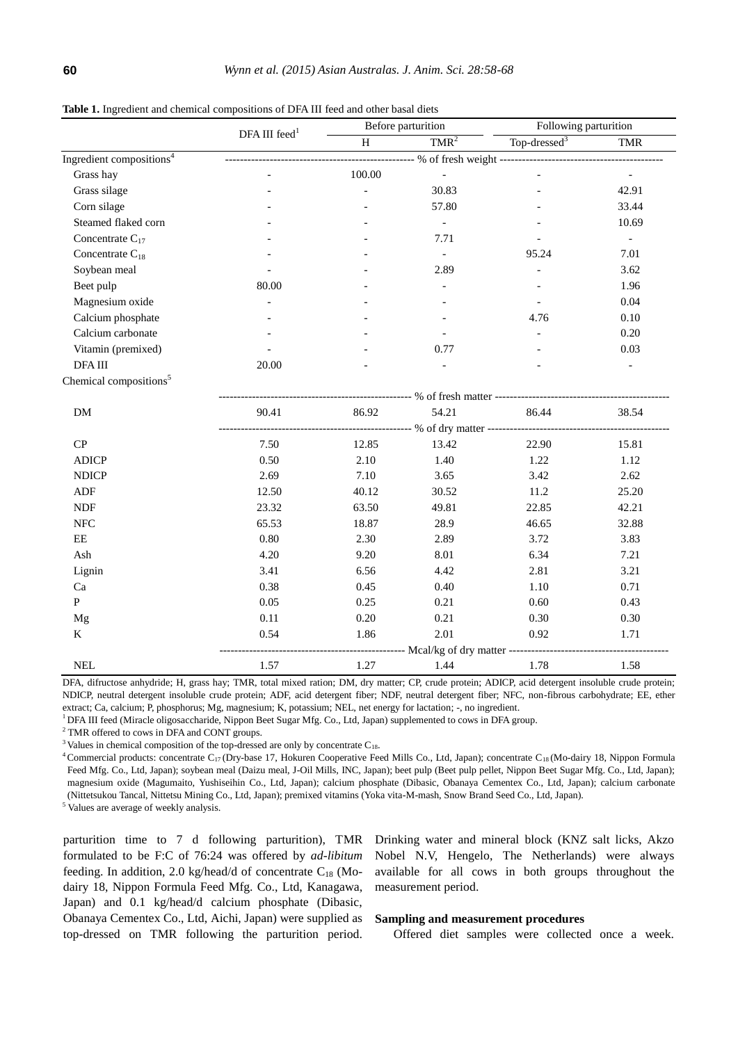|                                      | DFA III feed $1$ | Before parturition |                          | Following parturition |            |  |
|--------------------------------------|------------------|--------------------|--------------------------|-----------------------|------------|--|
|                                      |                  | H                  | $TMR^2$                  | Top-dressed $3$       | <b>TMR</b> |  |
| Ingredient compositions <sup>4</sup> |                  |                    |                          |                       |            |  |
| Grass hay                            |                  | 100.00             | $\equiv$                 | $\overline{a}$        | $\equiv$   |  |
| Grass silage                         |                  | $\overline{a}$     | 30.83                    |                       | 42.91      |  |
| Corn silage                          |                  |                    | 57.80                    |                       | 33.44      |  |
| Steamed flaked corn                  |                  |                    | $\overline{\phantom{a}}$ |                       | 10.69      |  |
| Concentrate $C_{17}$                 |                  |                    | 7.71                     |                       | $\equiv$   |  |
| Concentrate $C_{18}$                 |                  |                    | $\overline{\phantom{a}}$ | 95.24                 | 7.01       |  |
| Soybean meal                         |                  |                    | 2.89                     |                       | 3.62       |  |
| Beet pulp                            | 80.00            |                    |                          |                       | 1.96       |  |
| Magnesium oxide                      |                  |                    |                          |                       | 0.04       |  |
| Calcium phosphate                    |                  |                    |                          | 4.76                  | 0.10       |  |
| Calcium carbonate                    |                  |                    |                          |                       | 0.20       |  |
| Vitamin (premixed)                   |                  |                    | 0.77                     |                       | 0.03       |  |
| DFA III                              | 20.00            |                    |                          |                       |            |  |
| Chemical compositions <sup>5</sup>   |                  |                    |                          |                       |            |  |
|                                      |                  |                    |                          |                       |            |  |
| DM                                   | 90.41            | 86.92              | 54.21                    | 86.44                 | 38.54      |  |
|                                      |                  |                    |                          |                       |            |  |
| CP                                   | 7.50             | 12.85              | 13.42                    | 22.90                 | 15.81      |  |
| <b>ADICP</b>                         | 0.50             | 2.10               | 1.40                     | 1.22                  | 1.12       |  |
| <b>NDICP</b>                         | 2.69             | 7.10               | 3.65                     | 3.42                  | 2.62       |  |
| ADF                                  | 12.50            | 40.12              | 30.52                    | 11.2                  | 25.20      |  |
| NDF                                  | 23.32            | 63.50              | 49.81                    | 22.85                 | 42.21      |  |
| ${\rm NFC}$                          | 65.53            | 18.87              | 28.9                     | 46.65                 | 32.88      |  |
| $\rm{EE}$                            | 0.80             | 2.30               | 2.89                     | 3.72                  | 3.83       |  |
| ${\bf Ash}$                          | 4.20             | 9.20               | 8.01                     | 6.34                  | 7.21       |  |
| Lignin                               | 3.41             | 6.56               | 4.42                     | 2.81                  | 3.21       |  |
| Ca                                   | 0.38             | 0.45               | 0.40                     | 1.10                  | 0.71       |  |
| $\mathbf{P}$                         | 0.05             | 0.25               | 0.21                     | 0.60                  | 0.43       |  |
| Mg                                   | 0.11             | 0.20               | 0.21                     | 0.30                  | 0.30       |  |
| $\bf K$                              | 0.54             | 1.86               | 2.01                     | 0.92                  | 1.71       |  |
|                                      |                  |                    |                          |                       |            |  |

**Table 1.** Ingredient and chemical compositions of DFA III feed and other basal diets

DFA, difructose anhydride; H, grass hay; TMR, total mixed ration; DM, dry matter; CP, crude protein; ADICP, acid detergent insoluble crude protein; NDICP, neutral detergent insoluble crude protein; ADF, acid detergent fiber; NDF, neutral detergent fiber; NFC, non-fibrous carbohydrate; EE, ether extract; Ca, calcium; P, phosphorus; Mg, magnesium; K, potassium; NEL, net energy for lactation; -, no ingredient.

NEL 1.57 1.27 1.44 1.78 1.58

<sup>1</sup>DFA III feed (Miracle oligosaccharide, Nippon Beet Sugar Mfg. Co., Ltd, Japan) supplemented to cows in DFA group.

<sup>2</sup> TMR offered to cows in DFA and CONT groups.

 $3$  Values in chemical composition of the top-dressed are only by concentrate  $C_{18}$ .

<sup>4</sup> Commercial products: concentrate C<sub>17</sub> (Dry-base 17, Hokuren Cooperative Feed Mills Co., Ltd, Japan); concentrate C<sub>18</sub> (Mo-dairy 18, Nippon Formula Feed Mfg. Co., Ltd, Japan); soybean meal (Daizu meal, J-Oil Mills, INC, Japan); beet pulp (Beet pulp pellet, Nippon Beet Sugar Mfg. Co., Ltd, Japan); magnesium oxide (Magumaito, Yushiseihin Co., Ltd, Japan); calcium phosphate (Dibasic, Obanaya Cementex Co., Ltd, Japan); calcium carbonate (Nittetsukou Tancal, Nittetsu Mining Co., Ltd, Japan); premixed vitamins (Yoka vita-M-mash, Snow Brand Seed Co., Ltd, Japan).

<sup>5</sup> Values are average of weekly analysis.

parturition time to 7 d following parturition), TMR formulated to be F:C of 76:24 was offered by *ad-libitum* feeding. In addition, 2.0 kg/head/d of concentrate  $C_{18}$  (Modairy 18, Nippon Formula Feed Mfg. Co., Ltd, Kanagawa, Japan) and 0.1 kg/head/d calcium phosphate (Dibasic, Obanaya Cementex Co., Ltd, Aichi, Japan) were supplied as top-dressed on TMR following the parturition period.

Drinking water and mineral block (KNZ salt licks, Akzo Nobel N.V, Hengelo, The Netherlands) were always available for all cows in both groups throughout the measurement period.

#### **Sampling and measurement procedures**

Offered diet samples were collected once a week.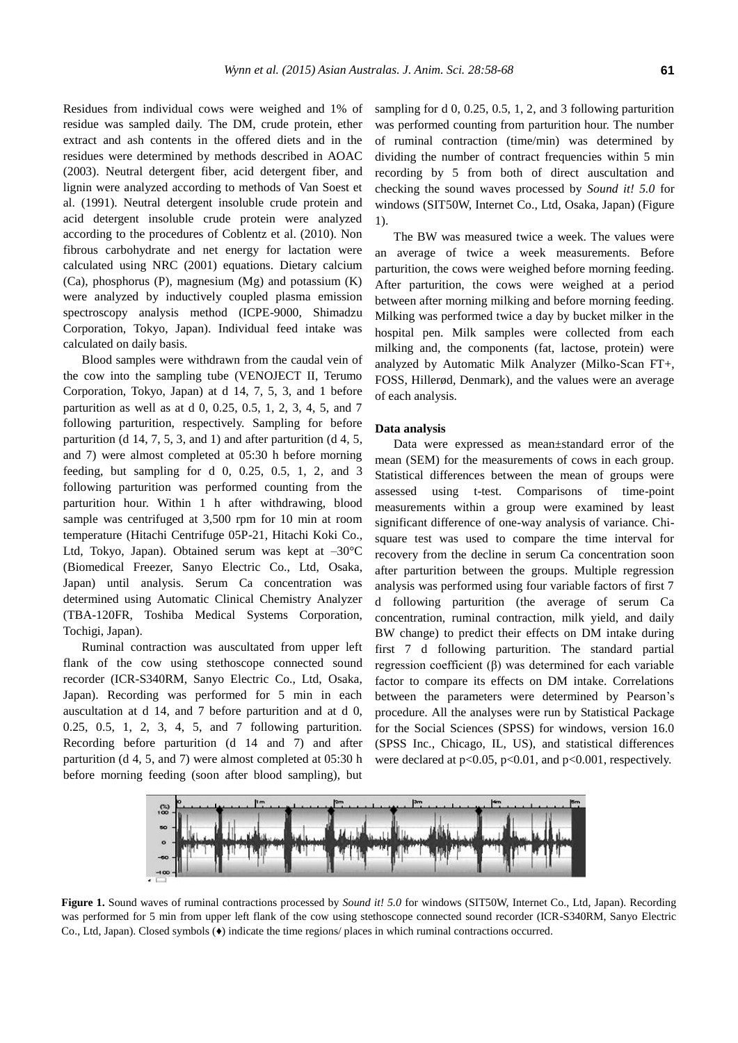Residues from individual cows were weighed and 1% of residue was sampled daily. The DM, crude protein, ether extract and ash contents in the offered diets and in the residues were determined by methods described in AOAC (2003). Neutral detergent fiber, acid detergent fiber, and lignin were analyzed according to methods of Van Soest et al. (1991). Neutral detergent insoluble crude protein and acid detergent insoluble crude protein were analyzed according to the procedures of Coblentz et al. (2010). Non fibrous carbohydrate and net energy for lactation were calculated using NRC (2001) equations. Dietary calcium (Ca), phosphorus (P), magnesium (Mg) and potassium (K) were analyzed by inductively coupled plasma emission spectroscopy analysis method (ICPE-9000, Shimadzu Corporation, Tokyo, Japan). Individual feed intake was calculated on daily basis.

Blood samples were withdrawn from the caudal vein of the cow into the sampling tube (VENOJECT II, Terumo Corporation, Tokyo, Japan) at d 14, 7, 5, 3, and 1 before parturition as well as at d 0, 0.25, 0.5, 1, 2, 3, 4, 5, and 7 following parturition, respectively. Sampling for before parturition (d 14, 7, 5, 3, and 1) and after parturition (d 4, 5, and 7) were almost completed at 05:30 h before morning feeding, but sampling for  $d$  0, 0.25, 0.5, 1, 2, and 3 following parturition was performed counting from the parturition hour. Within 1 h after withdrawing, blood sample was centrifuged at 3,500 rpm for 10 min at room temperature (Hitachi Centrifuge 05P-21, Hitachi Koki Co., Ltd, Tokyo, Japan). Obtained serum was kept at  $-30^{\circ}$ C (Biomedical Freezer, Sanyo Electric Co., Ltd, Osaka, Japan) until analysis. Serum Ca concentration was determined using Automatic Clinical Chemistry Analyzer (TBA-120FR, Toshiba Medical Systems Corporation, Tochigi, Japan).

Ruminal contraction was auscultated from upper left flank of the cow using stethoscope connected sound recorder (ICR-S340RM, Sanyo Electric Co., Ltd, Osaka, Japan). Recording was performed for 5 min in each auscultation at d 14, and 7 before parturition and at d 0, 0.25, 0.5, 1, 2, 3, 4, 5, and 7 following parturition. Recording before parturition (d 14 and 7) and after parturition (d 4, 5, and 7) were almost completed at 05:30 h before morning feeding (soon after blood sampling), but

sampling for d 0, 0.25, 0.5, 1, 2, and 3 following parturition was performed counting from parturition hour. The number of ruminal contraction (time/min) was determined by dividing the number of contract frequencies within 5 min recording by 5 from both of direct auscultation and checking the sound waves processed by *Sound it! 5.0* for windows (SIT50W, Internet Co., Ltd, Osaka, Japan) (Figure 1).

The BW was measured twice a week. The values were an average of twice a week measurements. Before parturition, the cows were weighed before morning feeding. After parturition, the cows were weighed at a period between after morning milking and before morning feeding. Milking was performed twice a day by bucket milker in the hospital pen. Milk samples were collected from each milking and, the components (fat, lactose, protein) were analyzed by Automatic Milk Analyzer (Milko-Scan FT+, FOSS, Hillerød, Denmark), and the values were an average of each analysis.

#### **Data analysis**

Data were expressed as mean±standard error of the mean (SEM) for the measurements of cows in each group. Statistical differences between the mean of groups were assessed using t-test. Comparisons of time-point measurements within a group were examined by least significant difference of one-way analysis of variance. Chisquare test was used to compare the time interval for recovery from the decline in serum Ca concentration soon after parturition between the groups. Multiple regression analysis was performed using four variable factors of first 7 d following parturition (the average of serum Ca concentration, ruminal contraction, milk yield, and daily BW change) to predict their effects on DM intake during first 7 d following parturition. The standard partial regression coefficient (β) was determined for each variable factor to compare its effects on DM intake. Correlations between the parameters were determined by Pearson's procedure. All the analyses were run by Statistical Package for the Social Sciences (SPSS) for windows, version 16.0 (SPSS Inc., Chicago, IL, US), and statistical differences were declared at  $p<0.05$ ,  $p<0.01$ , and  $p<0.001$ , respectively.



**Figure 1.** Sound waves of ruminal contractions processed by *Sound it! 5.0* for windows (SIT50W, Internet Co., Ltd, Japan). Recording was performed for 5 min from upper left flank of the cow using stethoscope connected sound recorder (ICR-S340RM, Sanyo Electric Co., Ltd, Japan). Closed symbols (♦) indicate the time regions/ places in which ruminal contractions occurred.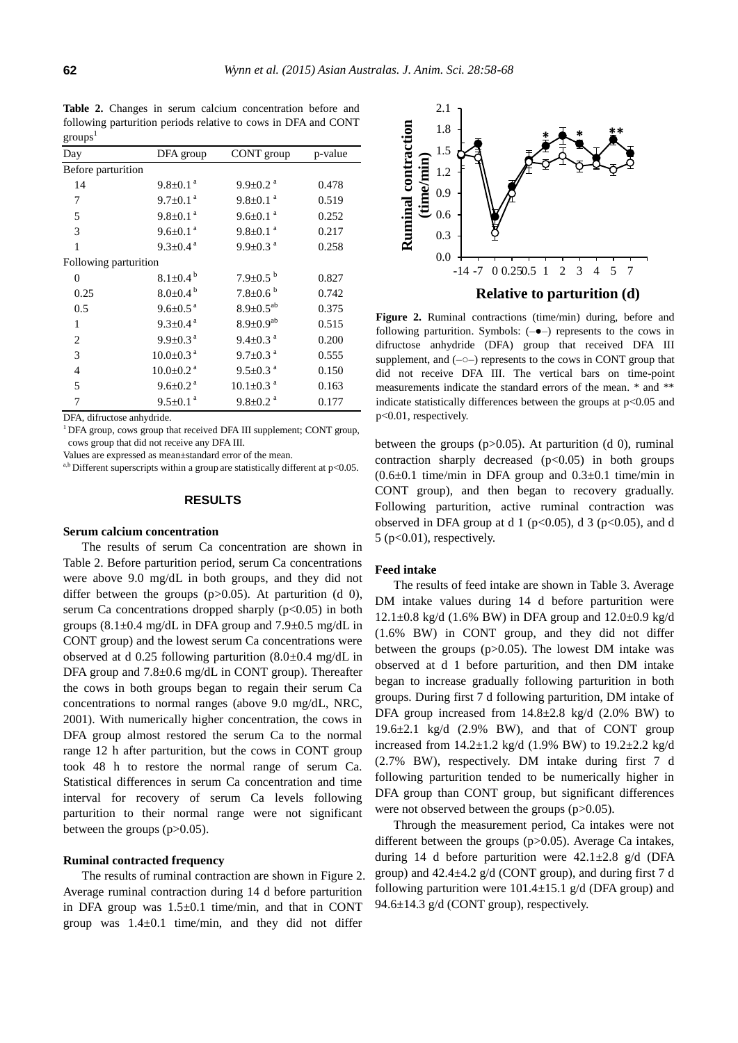Table 2. Changes in serum calcium concentration before and following parturition periods relative to cows in DFA and CONT  $\text{groups}^1$ 

| Day                   | DFA group                   | CONT group                  | p-value |
|-----------------------|-----------------------------|-----------------------------|---------|
| Before parturition    |                             |                             |         |
| 14                    | $9.8 \pm 0.1$ <sup>a</sup>  | $9.9 \pm 0.2$ <sup>a</sup>  | 0.478   |
| 7                     | $9.7 \pm 0.1$ <sup>a</sup>  | $9.8 \pm 0.1$ <sup>a</sup>  | 0.519   |
| 5                     | $9.8 \pm 0.1$ <sup>a</sup>  | $9.6 \pm 0.1$ <sup>a</sup>  | 0.252   |
| 3                     | $9.6+0.1a$                  | $9.8 \pm 0.1$ <sup>a</sup>  | 0.217   |
| 1                     | $9.3 \pm 0.4^{\text{a}}$    | $9.9 \pm 0.3$ <sup>a</sup>  | 0.258   |
| Following parturition |                             |                             |         |
| 0                     | $8.1 \pm 0.4^{\text{b}}$    | $7.9 \pm 0.5^{b}$           | 0.827   |
| 0.25                  | $8.0 \pm 0.4^{\circ}$       | $7.8 \pm 0.6^{b}$           | 0.742   |
| 0.5                   | $9.6 \pm 0.5$ <sup>a</sup>  | $8.9 \pm 0.5^{ab}$          | 0.375   |
| 1                     | $9.3+0.4^{\text{a}}$        | $8.9 \pm 0.9^{ab}$          | 0.515   |
| $\overline{c}$        | $9.9 \pm 0.3$ <sup>a</sup>  | $9.4 \pm 0.3$ <sup>a</sup>  | 0.200   |
| 3                     | $10.0 \pm 0.3$ <sup>a</sup> | $9.7 \pm 0.3$ <sup>a</sup>  | 0.555   |
| $\overline{4}$        | $10.0 \pm 0.2$ <sup>a</sup> | $9.5 \pm 0.3$ <sup>a</sup>  | 0.150   |
| 5                     | $9.6 \pm 0.2$ <sup>a</sup>  | $10.1 \pm 0.3$ <sup>a</sup> | 0.163   |
| 7                     | $9.5 \pm 0.1$ <sup>a</sup>  | $9.8 \pm 0.2$ <sup>a</sup>  | 0.177   |

DFA, difructose anhydride.

 $1$  DFA group, cows group that received DFA III supplement; CONT group, cows group that did not receive any DFA III.

Values are expressed as mean±standard error of the mean.

a,b Different superscripts within a group are statistically different at  $p<0.05$ .

#### **RESULTS**

#### **Serum calcium concentration**

The results of serum Ca concentration are shown in Table 2. Before parturition period, serum Ca concentrations were above 9.0 mg/dL in both groups, and they did not differ between the groups  $(p>0.05)$ . At parturition (d 0), serum Ca concentrations dropped sharply  $(p<0.05)$  in both groups  $(8.1\pm0.4 \text{ mg/dL}$  in DFA group and  $7.9\pm0.5 \text{ mg/dL}$  in CONT group) and the lowest serum Ca concentrations were observed at d 0.25 following parturition (8.0±0.4 mg/dL in DFA group and 7.8±0.6 mg/dL in CONT group). Thereafter the cows in both groups began to regain their serum Ca concentrations to normal ranges (above 9.0 mg/dL, NRC, 2001). With numerically higher concentration, the cows in DFA group almost restored the serum Ca to the normal range 12 h after parturition, but the cows in CONT group took 48 h to restore the normal range of serum Ca. Statistical differences in serum Ca concentration and time interval for recovery of serum Ca levels following parturition to their normal range were not significant between the groups (p>0.05).

# **Ruminal contracted frequency**

The results of ruminal contraction are shown in Figure 2. Average ruminal contraction during 14 d before parturition in DFA group was  $1.5\pm0.1$  time/min, and that in CONT group was  $1.4\pm0.1$  time/min, and they did not differ



Figure 2. Ruminal contractions (time/min) during, before and following parturition. Symbols:  $(-\bullet)$  represents to the cows in difructose anhydride (DFA) group that received DFA III supplement, and  $(-\circ-)$  represents to the cows in CONT group that did not receive DFA III. The vertical bars on time-point measurements indicate the standard errors of the mean. \* and \*\* indicate statistically differences between the groups at  $p<0.05$  and p<0.01, respectively.

between the groups (p>0.05). At parturition (d 0), ruminal contraction sharply decreased  $(p<0.05)$  in both groups  $(0.6\pm0.1)$  time/min in DFA group and  $(0.3\pm0.1)$  time/min in CONT group), and then began to recovery gradually. Following parturition, active ruminal contraction was observed in DFA group at d 1 ( $p<0.05$ ), d 3 ( $p<0.05$ ), and d  $5$  (p $<0.01$ ), respectively.

#### **Feed intake**

The results of feed intake are shown in Table 3. Average DM intake values during 14 d before parturition were  $12.1\pm0.8$  kg/d (1.6% BW) in DFA group and  $12.0\pm0.9$  kg/d (1.6% BW) in CONT group, and they did not differ between the groups (p>0.05). The lowest DM intake was observed at d 1 before parturition, and then DM intake began to increase gradually following parturition in both groups. During first 7 d following parturition, DM intake of DFA group increased from  $14.8\pm2.8$  kg/d  $(2.0\%$  BW) to  $19.6\pm2.1$  kg/d  $(2.9\%$  BW), and that of CONT group increased from 14.2±1.2 kg/d (1.9% BW) to 19.2±2.2 kg/d (2.7% BW), respectively. DM intake during first 7 d following parturition tended to be numerically higher in DFA group than CONT group, but significant differences were not observed between the groups (p>0.05).

Through the measurement period, Ca intakes were not different between the groups (p>0.05). Average Ca intakes, during 14 d before parturition were  $42.1 \pm 2.8$  g/d (DFA group) and  $42.4 \pm 4.2$  g/d (CONT group), and during first 7 d following parturition were  $101.4 \pm 15.1$  g/d (DFA group) and 94.6±14.3 g/d (CONT group), respectively.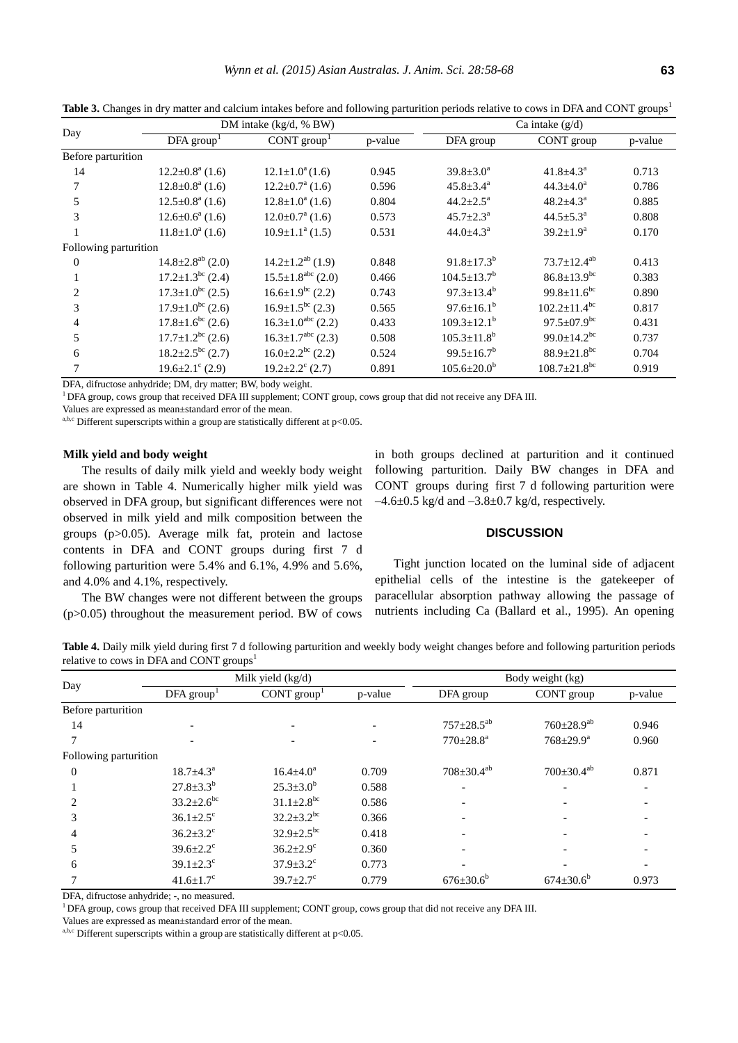| Day                   |                                   | DM intake $(kg/d, %BW)$             |         |                               | Ca intake $(g/d)$              |         |  |
|-----------------------|-----------------------------------|-------------------------------------|---------|-------------------------------|--------------------------------|---------|--|
|                       | DFA group <sup>T</sup>            | CONT group <sup>1</sup>             | p-value | DFA group                     | CONT group                     | p-value |  |
| Before parturition    |                                   |                                     |         |                               |                                |         |  |
| 14                    | $12.2 \pm 0.8^{\text{a}}$ (1.6)   | $12.1 \pm 1.0^a(1.6)$               | 0.945   | $39.8 \pm 3.0^a$              | $41.8 \pm 4.3^{\circ}$         | 0.713   |  |
|                       | $12.8 \pm 0.8^{\mathrm{a}}$ (1.6) | $12.2 \pm 0.7^{\text{a}}$ (1.6)     | 0.596   | $45.8 \pm 3.4^a$              | $44.3 \pm 4.0^a$               | 0.786   |  |
| 5                     | $12.5 \pm 0.8^a$ (1.6)            | $12.8 \pm 1.0^a$ (1.6)              | 0.804   | $44.2 \pm 2.5^a$              | $48.2 \pm 4.3^{\circ}$         | 0.885   |  |
| 3                     | $12.6 \pm 0.6^a$ (1.6)            | $12.0 \pm 0.7^{\text{a}}$ (1.6)     | 0.573   | $45.7 \pm 2.3^{\text{a}}$     | $44.5 \pm 5.3^{\text{a}}$      | 0.808   |  |
|                       | $11.8 \pm 1.0^a$ (1.6)            | $10.9 \pm 1.1^{\text{a}} (1.5)$     | 0.531   | $44.0 \pm 4.3^{\circ}$        | $39.2 \pm 1.9^a$               | 0.170   |  |
| Following parturition |                                   |                                     |         |                               |                                |         |  |
| $\theta$              | $14.8 \pm 2.8^{ab}$ (2.0)         | $14.2 \pm 1.2^{ab}$ (1.9)           | 0.848   | $91.8 \pm 17.3^b$             | $73.7 \pm 12.4^{ab}$           | 0.413   |  |
|                       | $17.2 \pm 1.3^{bc}$ (2.4)         | $15.5 \pm 1.8$ <sup>abc</sup> (2.0) | 0.466   | $104.5 \pm 13.7^b$            | $86.8 \pm 13.9$ <sup>bc</sup>  | 0.383   |  |
| 2                     | $17.3 \pm 1.0^{bc}$ (2.5)         | $16.6 \pm 1.9^{bc}$ (2.2)           | 0.743   | $97.3 \pm 13.4^b$             | 99.8 $\pm$ 11.6 <sup>bc</sup>  | 0.890   |  |
| 3                     | $17.9 \pm 1.0^{bc}$ (2.6)         | $16.9 \pm 1.5^{bc}$ (2.3)           | 0.565   | $97.6 \pm 16.1^b$             | $102.2 \pm 11.4^{\rm bc}$      | 0.817   |  |
| 4                     | $17.8 \pm 1.6^{\rm bc}$ (2.6)     | $16.3 \pm 1.0^{abc}$ (2.2)          | 0.433   | $109.3 \pm 12.1^b$            | $97.5 \pm 07.9$ <sup>bc</sup>  | 0.431   |  |
| 5                     | $17.7 \pm 1.2^{bc}$ (2.6)         | $16.3 \pm 1.7^{abc}$ (2.3)          | 0.508   | $105.3 \pm 11.8$ <sup>b</sup> | $99.0 \pm 14.2$ <sup>bc</sup>  | 0.737   |  |
| 6                     | $18.2 \pm 2.5^{bc}$ (2.7)         | $16.0 \pm 2.2^{bc}$ (2.2)           | 0.524   | $99.5 \pm 16.7^b$             | $88.9 \pm 21.8$ <sup>bc</sup>  | 0.704   |  |
|                       | $19.6 \pm 2.1^{\circ}$ (2.9)      | $19.2 \pm 2.2$ <sup>c</sup> (2.7)   | 0.891   | $105.6 \pm 20.0^b$            | $108.7 \pm 21.8$ <sup>bc</sup> | 0.919   |  |

**Table 3.** Changes in dry matter and calcium intakes before and following parturition periods relative to cows in DFA and CONT groups<sup>1</sup>

DFA, difructose anhydride; DM, dry matter; BW, body weight.

<sup>1</sup>DFA group, cows group that received DFA III supplement; CONT group, cows group that did not receive any DFA III.

Values are expressed as mean±standard error of the mean.

a,b,c Different superscripts within a group are statistically different at p<0.05.

## **Milk yield and body weight**

The results of daily milk yield and weekly body weight are shown in Table 4. Numerically higher milk yield was observed in DFA group, but significant differences were not observed in milk yield and milk composition between the groups (p>0.05). Average milk fat, protein and lactose contents in DFA and CONT groups during first 7 d following parturition were 5.4% and 6.1%, 4.9% and 5.6%, and 4.0% and 4.1%, respectively.

The BW changes were not different between the groups (p>0.05) throughout the measurement period. BW of cows

in both groups declined at parturition and it continued following parturition. Daily BW changes in DFA and CONT groups during first 7 d following parturition were  $-4.6\pm0.5$  kg/d and  $-3.8\pm0.7$  kg/d, respectively.

## **DISCUSSION**

Tight junction located on the luminal side of adjacent epithelial cells of the intestine is the gatekeeper of paracellular absorption pathway allowing the passage of nutrients including Ca (Ballard et al., 1995). An opening

**Table 4.** Daily milk yield during first 7 d following parturition and weekly body weight changes before and following parturition periods relative to cows in DFA and CONT groups<sup>1</sup>

| Day                   | Milk yield (kg/d)           |                              |         | Body weight (kg)          |                           |         |
|-----------------------|-----------------------------|------------------------------|---------|---------------------------|---------------------------|---------|
|                       | DFA group <sup>1</sup>      | CONT group <sup>1</sup>      | p-value | DFA group                 | CONT group                | p-value |
| Before parturition    |                             |                              |         |                           |                           |         |
| 14                    |                             |                              |         | $757 \pm 28.5^{ab}$       | $760 \pm 28.9^{ab}$       | 0.946   |
|                       |                             |                              |         | $770 \pm 28.8^{\text{a}}$ | $768 \pm 29.9^{\text{a}}$ | 0.960   |
| Following parturition |                             |                              |         |                           |                           |         |
| $\Omega$              | $18.7 \pm 4.3^{\circ}$      | $16.4 \pm 4.0^a$             | 0.709   | $708 \pm 30.4^{ab}$       | $700 \pm 30.4^{ab}$       | 0.871   |
|                       | $27.8 \pm 3.3^{b}$          | $25.3 \pm 3.0^b$             | 0.588   |                           | ٠                         |         |
|                       | $33.2 \pm 2.6^{\rm bc}$     | $31.1 \pm 2.8$ <sup>bc</sup> | 0.586   |                           |                           |         |
| 3                     | $36.1 \pm 2.5$ <sup>c</sup> | $32.2 \pm 3.2$ <sup>bc</sup> | 0.366   |                           |                           |         |
| 4                     | $36.2 \pm 3.2$ <sup>c</sup> | $32.9 \pm 2.5^{bc}$          | 0.418   |                           | -                         |         |
| 5                     | $39.6 \pm 2.2$ <sup>c</sup> | $36.2 \pm 2.9$ <sup>c</sup>  | 0.360   |                           |                           |         |
| 6                     | $39.1 \pm 2.3$ <sup>c</sup> | $37.9 \pm 3.2$ <sup>c</sup>  | 0.773   |                           |                           |         |
|                       | $41.6 \pm 1.7$ °            | $39.7 \pm 2.7$ °             | 0.779   | $676 \pm 30.6^b$          | $674 \pm 30.6^b$          | 0.973   |

DFA, difructose anhydride; -, no measured.

<sup>1</sup>DFA group, cows group that received DFA III supplement; CONT group, cows group that did not receive any DFA III.

Values are expressed as mean±standard error of the mean.

a,b,c Different superscripts within a group are statistically different at  $p<0.05$ .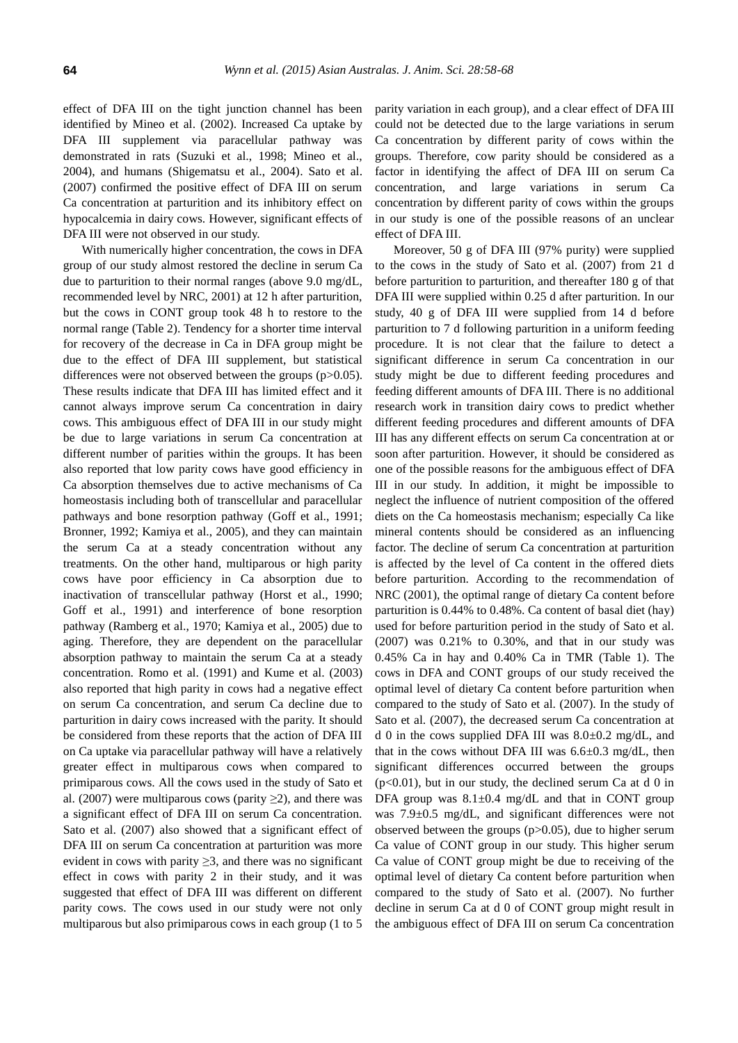effect of DFA III on the tight junction channel has been identified by Mineo et al. (2002). Increased Ca uptake by DFA III supplement via paracellular pathway was demonstrated in rats (Suzuki et al., 1998; Mineo et al., 2004), and humans (Shigematsu et al., 2004). Sato et al. (2007) confirmed the positive effect of DFA III on serum Ca concentration at parturition and its inhibitory effect on hypocalcemia in dairy cows. However, significant effects of DFA III were not observed in our study.

With numerically higher concentration, the cows in DFA group of our study almost restored the decline in serum Ca due to parturition to their normal ranges (above 9.0 mg/dL, recommended level by NRC, 2001) at 12 h after parturition, but the cows in CONT group took 48 h to restore to the normal range (Table 2). Tendency for a shorter time interval for recovery of the decrease in Ca in DFA group might be due to the effect of DFA III supplement, but statistical differences were not observed between the groups (p>0.05). These results indicate that DFA III has limited effect and it cannot always improve serum Ca concentration in dairy cows. This ambiguous effect of DFA III in our study might be due to large variations in serum Ca concentration at different number of parities within the groups. It has been also reported that low parity cows have good efficiency in Ca absorption themselves due to active mechanisms of Ca homeostasis including both of transcellular and paracellular pathways and bone resorption pathway (Goff et al., 1991; Bronner, 1992; Kamiya et al., 2005), and they can maintain the serum Ca at a steady concentration without any treatments. On the other hand, multiparous or high parity cows have poor efficiency in Ca absorption due to inactivation of transcellular pathway (Horst et al., 1990; Goff et al., 1991) and interference of bone resorption pathway (Ramberg et al., 1970; Kamiya et al., 2005) due to aging. Therefore, they are dependent on the paracellular absorption pathway to maintain the serum Ca at a steady concentration. Romo et al. (1991) and Kume et al. (2003) also reported that high parity in cows had a negative effect on serum Ca concentration, and serum Ca decline due to parturition in dairy cows increased with the parity. It should be considered from these reports that the action of DFA III on Ca uptake via paracellular pathway will have a relatively greater effect in multiparous cows when compared to primiparous cows. All the cows used in the study of Sato et al. (2007) were multiparous cows (parity  $\geq$ 2), and there was a significant effect of DFA III on serum Ca concentration. Sato et al. (2007) also showed that a significant effect of DFA III on serum Ca concentration at parturition was more evident in cows with parity  $\geq$ 3, and there was no significant effect in cows with parity 2 in their study, and it was suggested that effect of DFA III was different on different parity cows. The cows used in our study were not only multiparous but also primiparous cows in each group (1 to 5

parity variation in each group), and a clear effect of DFA III could not be detected due to the large variations in serum Ca concentration by different parity of cows within the groups. Therefore, cow parity should be considered as a factor in identifying the affect of DFA III on serum Ca concentration, and large variations in serum Ca concentration by different parity of cows within the groups in our study is one of the possible reasons of an unclear effect of DFA III.

Moreover, 50 g of DFA III (97% purity) were supplied to the cows in the study of Sato et al. (2007) from 21 d before parturition to parturition, and thereafter 180 g of that DFA III were supplied within 0.25 d after parturition. In our study, 40 g of DFA III were supplied from 14 d before parturition to 7 d following parturition in a uniform feeding procedure. It is not clear that the failure to detect a significant difference in serum Ca concentration in our study might be due to different feeding procedures and feeding different amounts of DFA III. There is no additional research work in transition dairy cows to predict whether different feeding procedures and different amounts of DFA III has any different effects on serum Ca concentration at or soon after parturition. However, it should be considered as one of the possible reasons for the ambiguous effect of DFA III in our study. In addition, it might be impossible to neglect the influence of nutrient composition of the offered diets on the Ca homeostasis mechanism; especially Ca like mineral contents should be considered as an influencing factor. The decline of serum Ca concentration at parturition is affected by the level of Ca content in the offered diets before parturition. According to the recommendation of NRC (2001), the optimal range of dietary Ca content before parturition is 0.44% to 0.48%. Ca content of basal diet (hay) used for before parturition period in the study of Sato et al. (2007) was 0.21% to 0.30%, and that in our study was 0.45% Ca in hay and 0.40% Ca in TMR (Table 1). The cows in DFA and CONT groups of our study received the optimal level of dietary Ca content before parturition when compared to the study of Sato et al. (2007). In the study of Sato et al. (2007), the decreased serum Ca concentration at d 0 in the cows supplied DFA III was 8.0±0.2 mg/dL, and that in the cows without DFA III was  $6.6\pm0.3$  mg/dL, then significant differences occurred between the groups  $(p<0.01)$ , but in our study, the declined serum Ca at d 0 in DFA group was  $8.1 \pm 0.4$  mg/dL and that in CONT group was 7.9±0.5 mg/dL, and significant differences were not observed between the groups (p>0.05), due to higher serum Ca value of CONT group in our study. This higher serum Ca value of CONT group might be due to receiving of the optimal level of dietary Ca content before parturition when compared to the study of Sato et al. (2007). No further decline in serum Ca at d 0 of CONT group might result in the ambiguous effect of DFA III on serum Ca concentration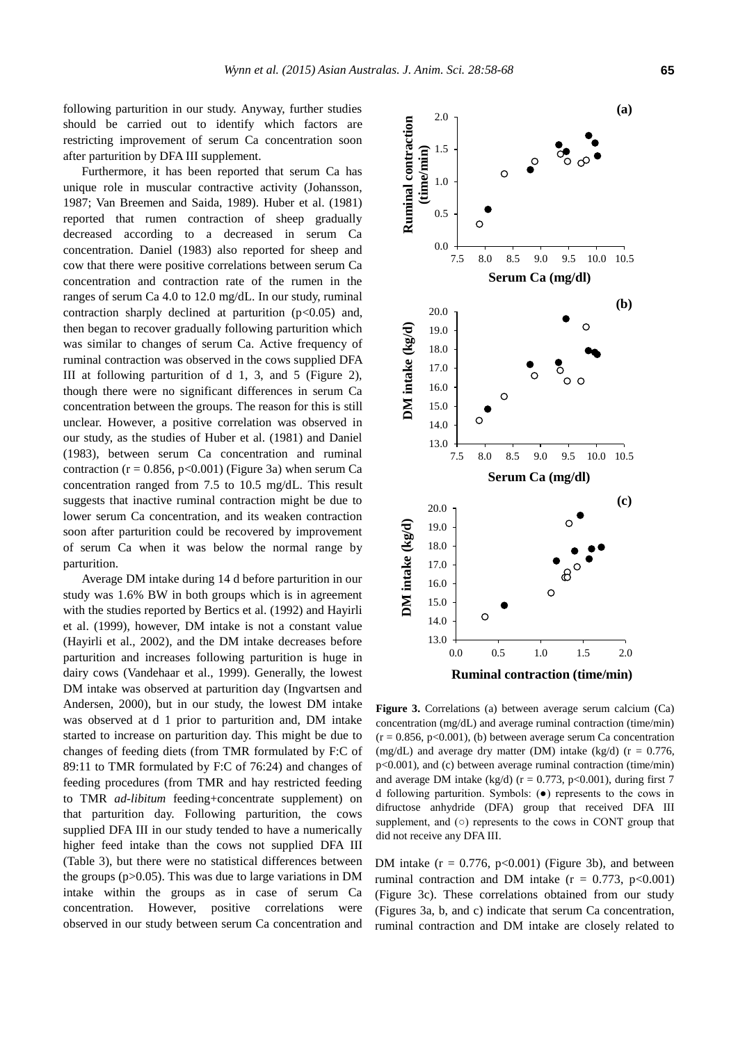following parturition in our study. Anyway, further studies should be carried out to identify which factors are restricting improvement of serum Ca concentration soon after parturition by DFA III supplement.

Furthermore, it has been reported that serum Ca has unique role in muscular contractive activity (Johansson, 1987; Van Breemen and Saida, 1989). Huber et al. (1981) reported that rumen contraction of sheep gradually decreased according to a decreased in serum Ca concentration. Daniel (1983) also reported for sheep and cow that there were positive correlations between serum Ca concentration and contraction rate of the rumen in the ranges of serum Ca 4.0 to 12.0 mg/dL. In our study, ruminal contraction sharply declined at parturition  $(p<0.05)$  and, then began to recover gradually following parturition which was similar to changes of serum Ca. Active frequency of ruminal contraction was observed in the cows supplied DFA III at following parturition of d 1, 3, and 5 (Figure 2), though there were no significant differences in serum Ca concentration between the groups. The reason for this is still unclear. However, a positive correlation was observed in our study, as the studies of Huber et al. (1981) and Daniel (1983), between serum Ca concentration and ruminal contraction ( $r = 0.856$ ,  $p < 0.001$ ) (Figure 3a) when serum Ca concentration ranged from 7.5 to 10.5 mg/dL. This result suggests that inactive ruminal contraction might be due to lower serum Ca concentration, and its weaken contraction soon after parturition could be recovered by improvement of serum Ca when it was below the normal range by parturition.

Average DM intake during 14 d before parturition in our study was 1.6% BW in both groups which is in agreement with the studies reported by Bertics et al. (1992) and Hayirli et al. (1999), however, DM intake is not a constant value (Hayirli et al., 2002), and the DM intake decreases before parturition and increases following parturition is huge in dairy cows (Vandehaar et al., 1999). Generally, the lowest DM intake was observed at parturition day (Ingvartsen and Andersen, 2000), but in our study, the lowest DM intake was observed at d 1 prior to parturition and, DM intake started to increase on parturition day. This might be due to changes of feeding diets (from TMR formulated by F:C of 89:11 to TMR formulated by F:C of 76:24) and changes of feeding procedures (from TMR and hay restricted feeding to TMR *ad-libitum* feeding+concentrate supplement) on that parturition day. Following parturition, the cows supplied DFA III in our study tended to have a numerically higher feed intake than the cows not supplied DFA III (Table 3), but there were no statistical differences between the groups  $(p>0.05)$ . This was due to large variations in DM intake within the groups as in case of serum Ca concentration. However, positive correlations were observed in our study between serum Ca concentration and



**Ruminal contractions** (a) between average serum carriers (ca) concentration (mg/dL) and average ruminal contraction (time/min) **Figure 3.** Correlations (a) between average serum calcium (Ca)  $(r = 0.856, p < 0.001)$ , (b) between average serum Ca concentration (mg/dL) and average dry matter (DM) intake (kg/d) ( $r = 0.776$ , p<0.001), and (c) between average ruminal contraction (time/min) and average DM intake (kg/d) ( $r = 0.773$ , p<0.001), during first 7 d following parturition. Symbols: (●) represents to the cows in difructose anhydride (DFA) group that received DFA III supplement, and (○) represents to the cows in CONT group that did not receive any DFA III.

DM intake  $(r = 0.776, p<0.001)$  (Figure 3b), and between ruminal contraction and DM intake  $(r = 0.773, p < 0.001)$ (Figure 3c). These correlations obtained from our study (Figures 3a, b, and c) indicate that serum Ca concentration, ruminal contraction and DM intake are closely related to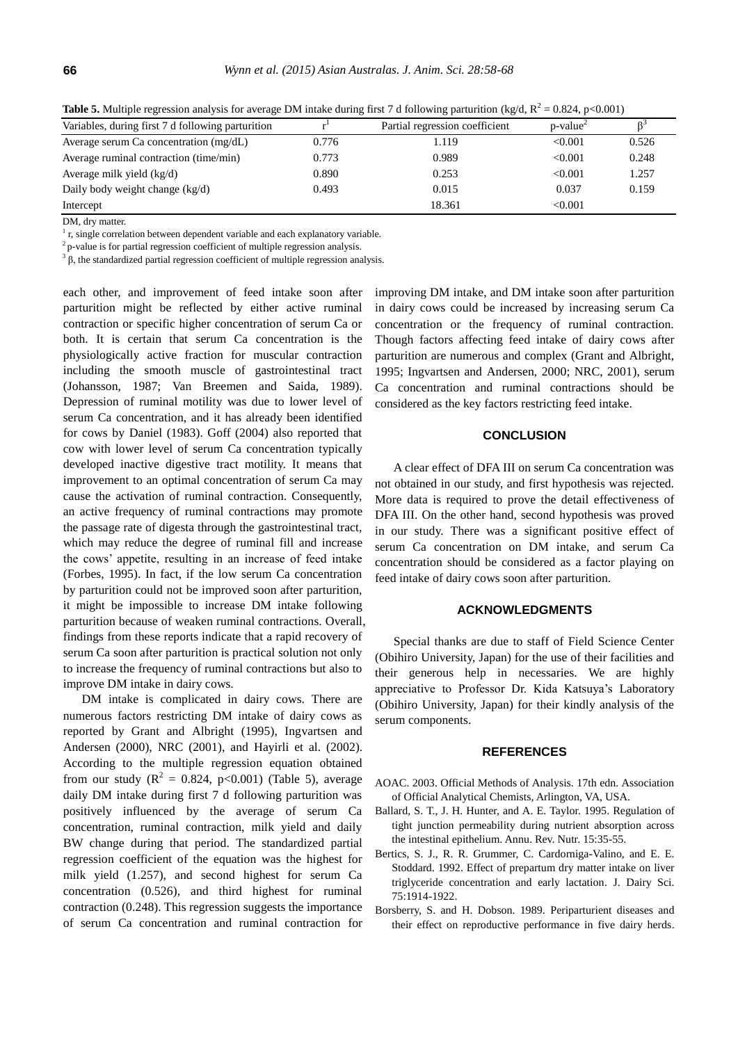| Variables, during first 7 d following parturition |       | Partial regression coefficient | $p$ -value <sup><math>\angle</math></sup> |       |
|---------------------------------------------------|-------|--------------------------------|-------------------------------------------|-------|
| Average serum Ca concentration (mg/dL)            | 0.776 | 1.119                          | < 0.001                                   | 0.526 |
| Average ruminal contraction (time/min)            | 0.773 | 0.989                          | < 0.001                                   | 0.248 |
| Average milk yield $(kg/d)$                       | 0.890 | 0.253                          | < 0.001                                   | 1.257 |
| Daily body weight change (kg/d)                   | 0.493 | 0.015                          | 0.037                                     | 0.159 |
| Intercept                                         |       | 18.361                         | < 0.001                                   |       |

**Table 5.** Multiple regression analysis for average DM intake during first 7 d following parturition (kg/d,  $R^2 = 0.824$ , p<0.001)

DM, dry matter.

 $<sup>1</sup>$  r, single correlation between dependent variable and each explanatory variable.</sup>

 $2$  p-value is for partial regression coefficient of multiple regression analysis.

 $3<sup>3</sup>$ β, the standardized partial regression coefficient of multiple regression analysis.

each other, and improvement of feed intake soon after parturition might be reflected by either active ruminal contraction or specific higher concentration of serum Ca or both. It is certain that serum Ca concentration is the physiologically active fraction for muscular contraction including the smooth muscle of gastrointestinal tract (Johansson, 1987; Van Breemen and Saida, 1989). Depression of ruminal motility was due to lower level of serum Ca concentration, and it has already been identified for cows by Daniel (1983). Goff (2004) also reported that cow with lower level of serum Ca concentration typically developed inactive digestive tract motility. It means that improvement to an optimal concentration of serum Ca may cause the activation of ruminal contraction. Consequently, an active frequency of ruminal contractions may promote the passage rate of digesta through the gastrointestinal tract, which may reduce the degree of ruminal fill and increase the cows' appetite, resulting in an increase of feed intake (Forbes, 1995). In fact, if the low serum Ca concentration by parturition could not be improved soon after parturition, it might be impossible to increase DM intake following parturition because of weaken ruminal contractions. Overall, findings from these reports indicate that a rapid recovery of serum Ca soon after parturition is practical solution not only to increase the frequency of ruminal contractions but also to improve DM intake in dairy cows.

DM intake is complicated in dairy cows. There are numerous factors restricting DM intake of dairy cows as reported by Grant and Albright (1995), Ingvartsen and Andersen (2000), NRC (2001), and Hayirli et al. (2002). According to the multiple regression equation obtained from our study ( $\mathbb{R}^2 = 0.824$ , p<0.001) (Table 5), average daily DM intake during first 7 d following parturition was positively influenced by the average of serum Ca concentration, ruminal contraction, milk yield and daily BW change during that period. The standardized partial regression coefficient of the equation was the highest for milk yield (1.257), and second highest for serum Ca concentration (0.526), and third highest for ruminal contraction (0.248). This regression suggests the importance of serum Ca concentration and ruminal contraction for

improving DM intake, and DM intake soon after parturition in dairy cows could be increased by increasing serum Ca concentration or the frequency of ruminal contraction. Though factors affecting feed intake of dairy cows after parturition are numerous and complex (Grant and Albright, 1995; Ingvartsen and Andersen, 2000; NRC, 2001), serum Ca concentration and ruminal contractions should be considered as the key factors restricting feed intake.

# **CONCLUSION**

A clear effect of DFA III on serum Ca concentration was not obtained in our study, and first hypothesis was rejected. More data is required to prove the detail effectiveness of DFA III. On the other hand, second hypothesis was proved in our study. There was a significant positive effect of serum Ca concentration on DM intake, and serum Ca concentration should be considered as a factor playing on feed intake of dairy cows soon after parturition.

# **ACKNOWLEDGMENTS**

Special thanks are due to staff of Field Science Center (Obihiro University, Japan) for the use of their facilities and their generous help in necessaries. We are highly appreciative to Professor Dr. Kida Katsuya's Laboratory (Obihiro University, Japan) for their kindly analysis of the serum components.

# **REFERENCES**

- AOAC. 2003. Official Methods of Analysis. 17th edn. Association of Official Analytical Chemists, Arlington, VA, USA.
- Ballard, S. T., J. H. Hunter, and A. E. Taylor. 199[5. Regulation of](http://www.annualreviews.org/doi/abs/10.1146/annurev.nu.15.070195.000343)  [tight junction permeability during nutrient absorption across](http://www.annualreviews.org/doi/abs/10.1146/annurev.nu.15.070195.000343)  [the intestinal epithelium.](http://www.annualreviews.org/doi/abs/10.1146/annurev.nu.15.070195.000343) Annu. Rev. Nutr. 15:35-55.
- Bertics, S. J., R. R. Grummer, C. Cardorniga-Valino, and E. E. Stoddard. 1992. [Effect of prepartum dry matter intake on liver](http://www.journalofdairyscience.org/article/S0022-0302(92)77951-X/abstract)  [triglyceride concentration and early lactation.](http://www.journalofdairyscience.org/article/S0022-0302(92)77951-X/abstract) J. Dairy Sci. 75:1914-1922.
- Borsberry, S. and H. Dobson. 1989. [Periparturient diseases and](http://www.ncbi.nlm.nih.gov/pubmed/2929110)  [their effect on reproductive performance in five dairy herds.](http://www.ncbi.nlm.nih.gov/pubmed/2929110)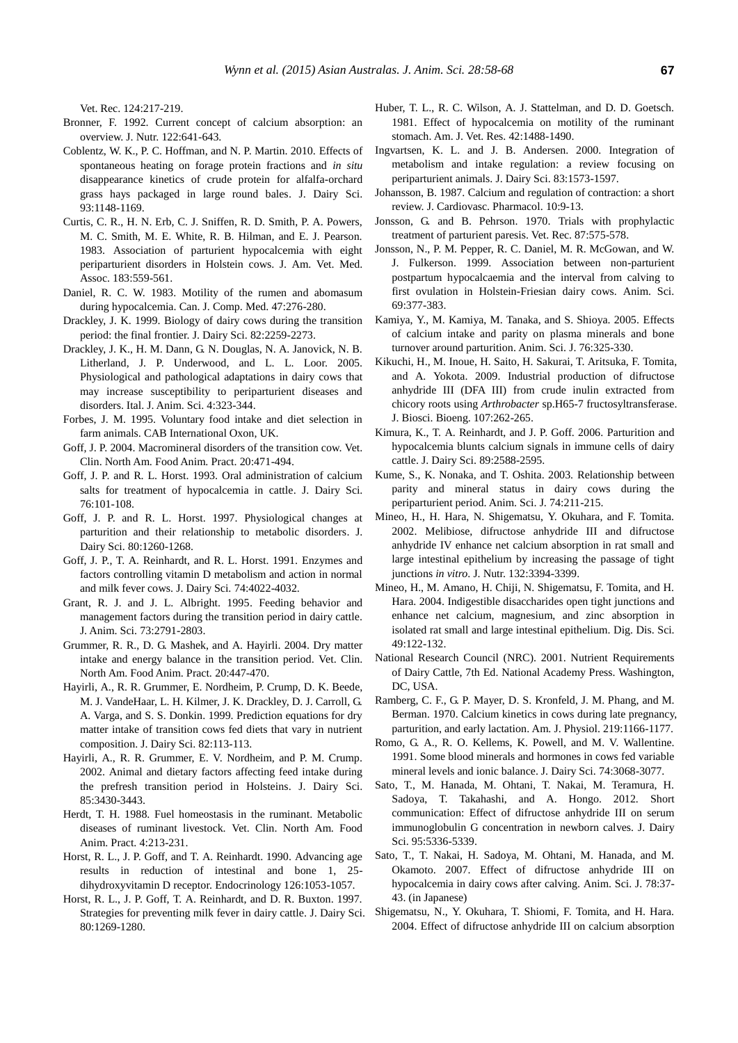Vet. Rec. 124:217-219.

- Bronner, F. 1992. [Current concept of calcium absorption: an](http://jn.nutrition.org/content/122/3_Suppl/641.full.pdf)  [overview.](http://jn.nutrition.org/content/122/3_Suppl/641.full.pdf) J. Nutr. 122:641-643.
- Coblentz, W. K., P. C. Hoffman, and N. P. Martin. 2010. [Effects of](http://www.journalofdairyscience.org/article/S0022-0302(10)00083-4/abstract)  [spontaneous heating on forage protein fractions and](http://www.journalofdairyscience.org/article/S0022-0302(10)00083-4/abstract) *in situ* [disappearance kinetics of crude protein for alfalfa-orchard](http://www.journalofdairyscience.org/article/S0022-0302(10)00083-4/abstract)  [grass hays packaged in large round bales.](http://www.journalofdairyscience.org/article/S0022-0302(10)00083-4/abstract) J. Dairy Sci. 93:1148-1169.
- Curtis, C. R., H. N. Erb, C. J. Sniffen, R. D. Smith, P. A. Powers, M. C. Smith, M. E. White, R. B. Hilman, and E. J. Pearson. 1983. [Association of parturient hypocalcemia with eight](http://www.ncbi.nlm.nih.gov/pubmed/6618988)  [periparturient disorders in Holstein](http://www.ncbi.nlm.nih.gov/pubmed/6618988) cows. J. Am. Vet. Med. Assoc. 183:559-561.
- Daniel, R. C. W. 1983. [Motility of the rumen and abomasum](http://www.ncbi.nlm.nih.gov/pmc/articles/PMC1235938/)  [during hypocalcemia.](http://www.ncbi.nlm.nih.gov/pmc/articles/PMC1235938/) Can. J. Comp. Med. 47:276-280.
- Drackley, J. K. 1999. [Biology of dairy cows during the transition](http://www.sciencedirect.com/science/article/pii/S0022030299754743)  [period: the final frontier.](http://www.sciencedirect.com/science/article/pii/S0022030299754743) J. Dairy Sci. 82:2259-2273.
- Drackley, J. K., H. M. Dann, G. N. Douglas, N. A. Janovick, N. B. Litherland, J. P. Underwood, and L. L. Loor. 2005. [Physiological and pathological adaptations](http://www.aspajournal.it/index.php/ijas/article/view/ijas.2005.323) in dairy cows that [may increase susceptibility to periparturient diseases and](http://www.aspajournal.it/index.php/ijas/article/view/ijas.2005.323)  [disorders.](http://www.aspajournal.it/index.php/ijas/article/view/ijas.2005.323) Ital. J. Anim. Sci. 4:323-344.
- Forbes, J. M. 1995. Voluntary food intake and diet selection in farm animals. CAB International Oxon, UK.
- Goff, J. P. 2004[. Macromineral disorders of the transition cow.](http://www.ncbi.nlm.nih.gov/pubmed/15471621) Vet. Clin. North Am. Food Anim. Pract. 20:471-494.
- Goff, J. P. and R. L. Horst. 1993. [Oral administration of calcium](http://www.sciencedirect.com/science/article/pii/S0022030293773282)  [salts for treatment of hypocalcemia in cattle.](http://www.sciencedirect.com/science/article/pii/S0022030293773282) J. Dairy Sci. 76:101-108.
- Goff, J. P. and R. L. Horst. 1997. [Physiological changes at](http://www.sciencedirect.com/science/article/pii/S0022030297760557)  [parturition and their relationship to metabolic disorders.](http://www.sciencedirect.com/science/article/pii/S0022030297760557) J. Dairy Sci. 80:1260-1268.
- Goff, J. P., T. A. Reinhardt, and R. L. Horst. 1991. [Enzymes and](http://www.sciencedirect.com/science/article/pii/S0022030291785974)  [factors controlling vitamin D metabolism and action in normal](http://www.sciencedirect.com/science/article/pii/S0022030291785974)  [and milk fever cows.](http://www.sciencedirect.com/science/article/pii/S0022030291785974) J. Dairy Sci. 74:4022-4032.
- Grant, R. J. and J. L. Albright. 1995. [Feeding behavior and](http://www.journalofanimalscience.org/content/73/9/2791.short)  [management factors during the transition period in dairy cattle.](http://www.journalofanimalscience.org/content/73/9/2791.short)  J. Anim. Sci. 73:2791-2803.
- Grummer, R. R., D. G. Mashek, and A. Hayirli. 2004. [Dry matter](http://www.ncbi.nlm.nih.gov/pubmed/15471620)  [intake and energy balance in the transition period.](http://www.ncbi.nlm.nih.gov/pubmed/15471620) Vet. Clin. North Am. Food Anim. Pract. 20:447-470.
- Hayirli, A., R. R. Grummer, E. Nordheim, P. Crump, D. K. Beede, M. J. VandeHaar, L. H. Kilmer, J. K. Drackley, D. J. Carroll, G. A. Varga, and S. S. Donkin. 1999. Prediction equations for dry matter intake of transition cows fed diets that vary in nutrient composition. J. Dairy Sci. 82:113-113.
- Hayirli, A., R. R. Grummer, E. V. Nordheim, and P. M. Crump. 2002. [Animal and dietary factors affecting feed intake during](http://www.sciencedirect.com/science/article/pii/S0022030202744317)  [the prefresh transition period in Holsteins.](http://www.sciencedirect.com/science/article/pii/S0022030202744317) J. Dairy Sci. 85:3430-3443.
- Herdt, T. H. 1988. Fuel homeostasis in the ruminant. Metabolic diseases of ruminant livestock. Vet. Clin. North Am. Food Anim. Pract. 4:213-231.
- Horst, R. L., J. P. Goff, and T. A. Reinhardt. 1990. [Advancing age](http://press.endocrine.org/doi/abs/10.1210/endo-126-2-1053)  [results in reduction of intestinal and bone 1, 25](http://press.endocrine.org/doi/abs/10.1210/endo-126-2-1053) [dihydroxyvitamin D receptor.](http://press.endocrine.org/doi/abs/10.1210/endo-126-2-1053) Endocrinology 126:1053-1057.
- Horst, R. L., J. P. Goff, T. A. Reinhardt, and D. R. Buxton. 1997. [Strategies for preventing milk fever in dairy cattle.](http://www.sciencedirect.com/science/article/pii/S0022030297760569) J. Dairy Sci. 80:1269-1280.
- Huber, T. L., R. C. Wilson, A. J. Stattelman, and D. D. Goetsch. 1981. [Effect of hypocalcemia on motility of the ruminant](http://www.ncbi.nlm.nih.gov/pubmed/7325457)  [stomach.](http://www.ncbi.nlm.nih.gov/pubmed/7325457) Am. J. Vet. Res. 42:1488-1490.
- Ingvartsen, K. L. and J. B. Andersen. 2000. [Integration of](http://www.sciencedirect.com/science/article/pii/S0022030200750296)  [metabolism and intake regulation: a review focusing on](http://www.sciencedirect.com/science/article/pii/S0022030200750296)  [periparturient animals.](http://www.sciencedirect.com/science/article/pii/S0022030200750296) J. Dairy Sci. 83:1573-1597.
- Johansson, B. 1987[. Calcium and regulation of contraction: a short](http://www.ncbi.nlm.nih.gov/pubmed/2442527)  [review.](http://www.ncbi.nlm.nih.gov/pubmed/2442527) J. Cardiovasc. Pharmacol. 10:9-13.
- Jonsson, G. and B. Pehrson. 1970. [Trials with prophylactic](http://www.ncbi.nlm.nih.gov/pubmed/4320904)  [treatment of parturient paresis.](http://www.ncbi.nlm.nih.gov/pubmed/4320904) Vet. Rec. 87:575-578.
- Jonsson, N., P. M. Pepper, R. C. Daniel, M. R. McGowan, and W. J. Fulkerson. 1999. Association between non-parturient postpartum hypocalcaemia and the interval from calving to first ovulation in Holstein-Friesian dairy cows. Anim. Sci. 69:377-383.
- Kamiya, Y., M. Kamiya, M. Tanaka, and S. Shioya. 2005. [Effects](http://onlinelibrary.wiley.com/doi/10.1111/j.1740-0929.2005.00271.x/abstract?deniedAccessCustomisedMessage=&userIsAuthenticated=false)  [of calcium intake and parity on plasma minerals and bone](http://onlinelibrary.wiley.com/doi/10.1111/j.1740-0929.2005.00271.x/abstract?deniedAccessCustomisedMessage=&userIsAuthenticated=false)  [turnover around parturition](http://onlinelibrary.wiley.com/doi/10.1111/j.1740-0929.2005.00271.x/abstract?deniedAccessCustomisedMessage=&userIsAuthenticated=false). Anim. Sci. J. 76:325-330.
- Kikuchi, H., M. Inoue, H. Saito, H. Sakurai, T. Aritsuka, F. Tomita, and A. Yokota. 2009. [Industrial production of difructose](http://www.sciencedirect.com/science/article/pii/S1389172308001187)  [anhydride III \(DFA III\) from crude inulin extracted from](http://www.sciencedirect.com/science/article/pii/S1389172308001187)  chicory roots using *Arthrobacter* [sp.H65-7 fructosyltransferase.](http://www.sciencedirect.com/science/article/pii/S1389172308001187)  J. Biosci. Bioeng. 107:262-265.
- Kimura, K., T. A. Reinhardt, and J. P. Goff. 2006. [Parturition and](http://www.sciencedirect.com/science/article/pii/S0022030206723359)  [hypocalcemia blunts calcium signals in immune cells of dairy](http://www.sciencedirect.com/science/article/pii/S0022030206723359)  [cattle.](http://www.sciencedirect.com/science/article/pii/S0022030206723359) J. Dairy Sci. 89:2588-2595.
- Kume, S., K. Nonaka, and T. Oshita. 2003. [Relationship between](http://onlinelibrary.wiley.com/doi/10.1046/j.1344-3941.2003.00107.x/abstract?deniedAccessCustomisedMessage=&userIsAuthenticated=false)  [parity and mineral status in dairy cows during the](http://onlinelibrary.wiley.com/doi/10.1046/j.1344-3941.2003.00107.x/abstract?deniedAccessCustomisedMessage=&userIsAuthenticated=false)  [periparturient period.](http://onlinelibrary.wiley.com/doi/10.1046/j.1344-3941.2003.00107.x/abstract?deniedAccessCustomisedMessage=&userIsAuthenticated=false) Anim. Sci. J. 74:211-215.
- Mineo, H., H. Hara, N. Shigematsu, Y. Okuhara, and F. Tomita. 2002. [Melibiose, difructose anhydride III and difructose](http://jn.nutrition.org/content/132/11/3394.short)  [anhydride IV enhance net calcium absorption in rat small and](http://jn.nutrition.org/content/132/11/3394.short)  [large intestinal epithelium by increasing the passage of tight](http://jn.nutrition.org/content/132/11/3394.short)  [junctions](http://jn.nutrition.org/content/132/11/3394.short) *in vitro*. J. Nutr. 132:3394-3399.
- Mineo, H., M. Amano, H. Chiji, N. Shigematsu, F. Tomita, and H. Hara. 2004. [Indigestible disaccharides open tight junctions](http://link.springer.com/article/10.1023/B:DDAS.0000011613.11671.c7) and [enhance net calcium, magnesium, and zinc](http://link.springer.com/article/10.1023/B:DDAS.0000011613.11671.c7) absorption in [isolated rat small and large intestinal epithelium.](http://link.springer.com/article/10.1023/B:DDAS.0000011613.11671.c7) Dig. Dis. Sci. 49:122-132.
- National Research Council (NRC). 2001. Nutrient Requirements of Dairy Cattle, 7th Ed. National Academy Press. Washington, DC, USA.
- Ramberg, C. F., G. P. Mayer, D. S. Kronfeld, J. M. Phang, and M. Berman. 1970. [Calcium kinetics in cows during late pregnancy,](http://ajplegacy.physiology.org/content/219/5/1166)  [parturition, and early lactation.](http://ajplegacy.physiology.org/content/219/5/1166) Am. J. Physiol. 219:1166-1177.
- Romo, G. A., R. O. Kellems, K. Powell, and M. V. Wallentine. 1991. [Some blood minerals and hormones in cows fed variable](http://www.sciencedirect.com/science/article/pii/S0022030291784920)  [mineral levels and ionic balance.](http://www.sciencedirect.com/science/article/pii/S0022030291784920) J. Dairy Sci. 74:3068-3077.
- Sato, T., M. Hanada, M. Ohtani, T. Nakai, M. Teramura, H. Sadoya, T. Takahashi, and A. Hongo. 2012. [Short](http://www.sciencedirect.com/science/article/pii/S0022030212005498)  [communication: Effect of difructose anhydride III on serum](http://www.sciencedirect.com/science/article/pii/S0022030212005498)  [immunoglobulin G concentration in newborn calves.](http://www.sciencedirect.com/science/article/pii/S0022030212005498) J. Dairy Sci. 95:5336-5339.
- Sato, T., T. Nakai, H. Sadoya, M. Ohtani, M. Hanada, and M. Okamoto. 2007. [Effect of difructose anhydride III on](https://www.jstage.jst.go.jp/article/chikusan/78/1/78_1_37/_article)  [hypocalcemia in dairy cows after calving.](https://www.jstage.jst.go.jp/article/chikusan/78/1/78_1_37/_article) Anim. Sci. J. 78:37- 43. (in Japanese)
- Shigematsu, N., Y. Okuhara, T. Shiomi, F. Tomita, and H. Hara. 2004. [Effect of difructose anhydride III on calcium absorption](http://www.tandfonline.com/doi/abs/10.1271/bbb.68.1011#.VE2x2fmsWqE)